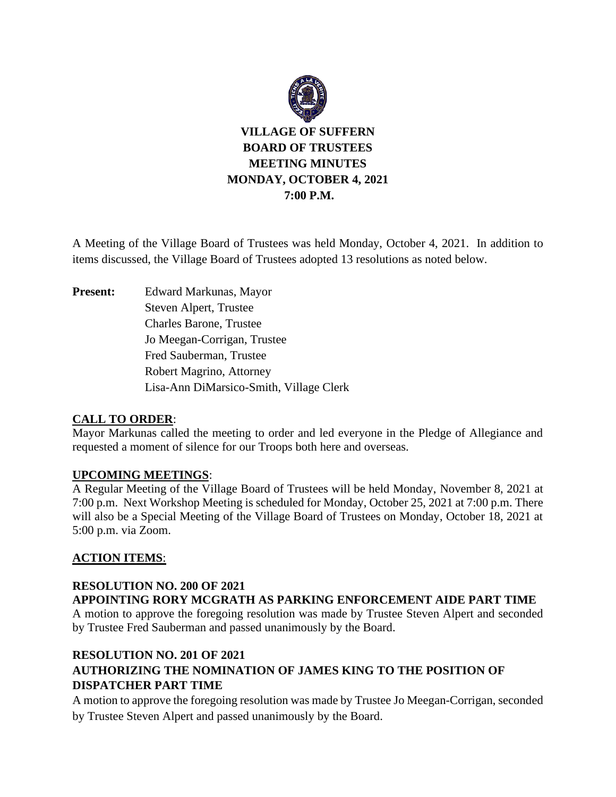

A Meeting of the Village Board of Trustees was held Monday, October 4, 2021. In addition to items discussed, the Village Board of Trustees adopted 13 resolutions as noted below.

**Present:** Edward Markunas, Mayor Steven Alpert, Trustee Charles Barone, Trustee Jo Meegan-Corrigan, Trustee Fred Sauberman, Trustee Robert Magrino, Attorney Lisa-Ann DiMarsico-Smith, Village Clerk

### **CALL TO ORDER**:

Mayor Markunas called the meeting to order and led everyone in the Pledge of Allegiance and requested a moment of silence for our Troops both here and overseas.

### **UPCOMING MEETINGS**:

A Regular Meeting of the Village Board of Trustees will be held Monday, November 8, 2021 at 7:00 p.m. Next Workshop Meeting is scheduled for Monday, October 25, 2021 at 7:00 p.m. There will also be a Special Meeting of the Village Board of Trustees on Monday, October 18, 2021 at 5:00 p.m. via Zoom.

### **ACTION ITEMS**:

### **RESOLUTION NO. 200 OF 2021 APPOINTING RORY MCGRATH AS PARKING ENFORCEMENT AIDE PART TIME**

A motion to approve the foregoing resolution was made by Trustee Steven Alpert and seconded by Trustee Fred Sauberman and passed unanimously by the Board.

## **RESOLUTION NO. 201 OF 2021 AUTHORIZING THE NOMINATION OF JAMES KING TO THE POSITION OF DISPATCHER PART TIME**

A motion to approve the foregoing resolution was made by Trustee Jo Meegan-Corrigan, seconded by Trustee Steven Alpert and passed unanimously by the Board.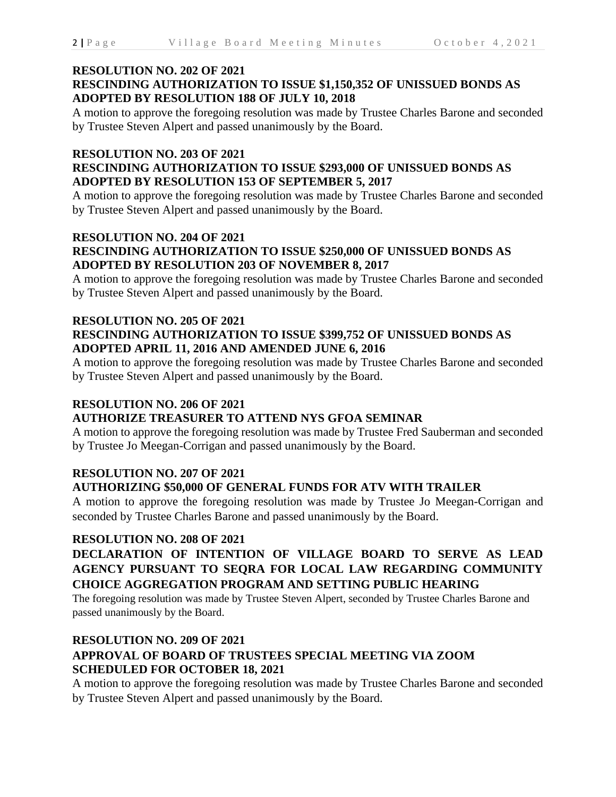#### **RESOLUTION NO. 202 OF 2021 RESCINDING AUTHORIZATION TO ISSUE \$1,150,352 OF UNISSUED BONDS AS ADOPTED BY RESOLUTION 188 OF JULY 10, 2018**

A motion to approve the foregoing resolution was made by Trustee Charles Barone and seconded by Trustee Steven Alpert and passed unanimously by the Board.

### **RESOLUTION NO. 203 OF 2021**

### **RESCINDING AUTHORIZATION TO ISSUE \$293,000 OF UNISSUED BONDS AS ADOPTED BY RESOLUTION 153 OF SEPTEMBER 5, 2017**

A motion to approve the foregoing resolution was made by Trustee Charles Barone and seconded by Trustee Steven Alpert and passed unanimously by the Board.

### **RESOLUTION NO. 204 OF 2021 RESCINDING AUTHORIZATION TO ISSUE \$250,000 OF UNISSUED BONDS AS ADOPTED BY RESOLUTION 203 OF NOVEMBER 8, 2017**

A motion to approve the foregoing resolution was made by Trustee Charles Barone and seconded by Trustee Steven Alpert and passed unanimously by the Board.

#### **RESOLUTION NO. 205 OF 2021 RESCINDING AUTHORIZATION TO ISSUE \$399,752 OF UNISSUED BONDS AS ADOPTED APRIL 11, 2016 AND AMENDED JUNE 6, 2016**

A motion to approve the foregoing resolution was made by Trustee Charles Barone and seconded by Trustee Steven Alpert and passed unanimously by the Board.

### **RESOLUTION NO. 206 OF 2021**

### **AUTHORIZE TREASURER TO ATTEND NYS GFOA SEMINAR**

A motion to approve the foregoing resolution was made by Trustee Fred Sauberman and seconded by Trustee Jo Meegan-Corrigan and passed unanimously by the Board.

### **RESOLUTION NO. 207 OF 2021**

### **AUTHORIZING \$50,000 OF GENERAL FUNDS FOR ATV WITH TRAILER**

A motion to approve the foregoing resolution was made by Trustee Jo Meegan-Corrigan and seconded by Trustee Charles Barone and passed unanimously by the Board.

### **RESOLUTION NO. 208 OF 2021**

## **DECLARATION OF INTENTION OF VILLAGE BOARD TO SERVE AS LEAD AGENCY PURSUANT TO SEQRA FOR LOCAL LAW REGARDING COMMUNITY CHOICE AGGREGATION PROGRAM AND SETTING PUBLIC HEARING**

The foregoing resolution was made by Trustee Steven Alpert, seconded by Trustee Charles Barone and passed unanimously by the Board.

# **RESOLUTION NO. 209 OF 2021**

## **APPROVAL OF BOARD OF TRUSTEES SPECIAL MEETING VIA ZOOM SCHEDULED FOR OCTOBER 18, 2021**

A motion to approve the foregoing resolution was made by Trustee Charles Barone and seconded by Trustee Steven Alpert and passed unanimously by the Board.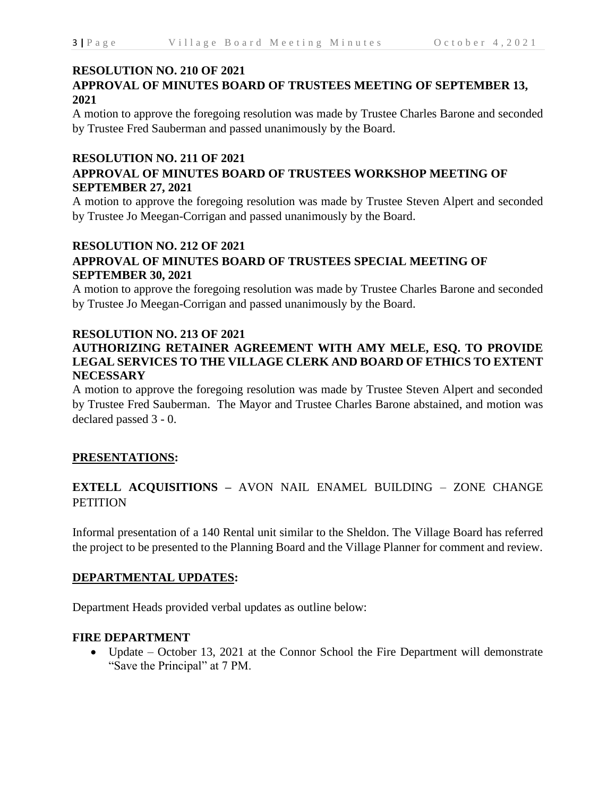### **RESOLUTION NO. 210 OF 2021**

## **APPROVAL OF MINUTES BOARD OF TRUSTEES MEETING OF SEPTEMBER 13, 2021**

A motion to approve the foregoing resolution was made by Trustee Charles Barone and seconded by Trustee Fred Sauberman and passed unanimously by the Board.

### **RESOLUTION NO. 211 OF 2021**

### **APPROVAL OF MINUTES BOARD OF TRUSTEES WORKSHOP MEETING OF SEPTEMBER 27, 2021**

A motion to approve the foregoing resolution was made by Trustee Steven Alpert and seconded by Trustee Jo Meegan-Corrigan and passed unanimously by the Board.

## **RESOLUTION NO. 212 OF 2021 APPROVAL OF MINUTES BOARD OF TRUSTEES SPECIAL MEETING OF SEPTEMBER 30, 2021**

A motion to approve the foregoing resolution was made by Trustee Charles Barone and seconded by Trustee Jo Meegan-Corrigan and passed unanimously by the Board.

### **RESOLUTION NO. 213 OF 2021**

### **AUTHORIZING RETAINER AGREEMENT WITH AMY MELE, ESQ. TO PROVIDE LEGAL SERVICES TO THE VILLAGE CLERK AND BOARD OF ETHICS TO EXTENT NECESSARY**

A motion to approve the foregoing resolution was made by Trustee Steven Alpert and seconded by Trustee Fred Sauberman. The Mayor and Trustee Charles Barone abstained, and motion was declared passed 3 - 0.

### **PRESENTATIONS:**

## **EXTELL ACQUISITIONS –** AVON NAIL ENAMEL BUILDING – ZONE CHANGE **PETITION**

Informal presentation of a 140 Rental unit similar to the Sheldon. The Village Board has referred the project to be presented to the Planning Board and the Village Planner for comment and review.

### **DEPARTMENTAL UPDATES:**

Department Heads provided verbal updates as outline below:

### **FIRE DEPARTMENT**

• Update – October 13, 2021 at the Connor School the Fire Department will demonstrate "Save the Principal" at 7 PM.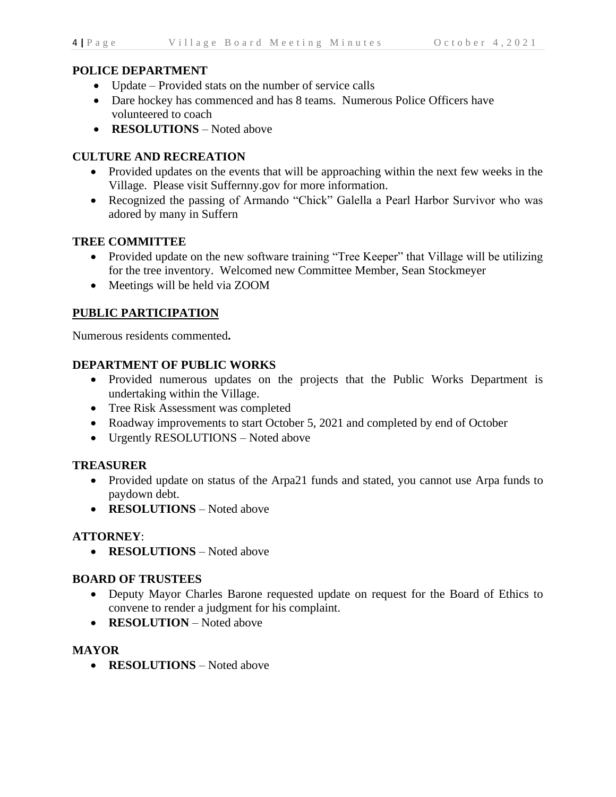### **POLICE DEPARTMENT**

- Update Provided stats on the number of service calls
- Dare hockey has commenced and has 8 teams. Numerous Police Officers have volunteered to coach
- **RESOLUTIONS** Noted above

### **CULTURE AND RECREATION**

- Provided updates on the events that will be approaching within the next few weeks in the Village. Please visit Suffernny.gov for more information.
- Recognized the passing of Armando "Chick" Galella a Pearl Harbor Survivor who was adored by many in Suffern

### **TREE COMMITTEE**

- Provided update on the new software training "Tree Keeper" that Village will be utilizing for the tree inventory. Welcomed new Committee Member, Sean Stockmeyer
- Meetings will be held via ZOOM

### **PUBLIC PARTICIPATION**

Numerous residents commented**.**

### **DEPARTMENT OF PUBLIC WORKS**

- Provided numerous updates on the projects that the Public Works Department is undertaking within the Village.
- Tree Risk Assessment was completed
- Roadway improvements to start October 5, 2021 and completed by end of October
- Urgently RESOLUTIONS Noted above

### **TREASURER**

- Provided update on status of the Arpa21 funds and stated, you cannot use Arpa funds to paydown debt.
- **RESOLUTIONS** Noted above

### **ATTORNEY**:

• **RESOLUTIONS** – Noted above

### **BOARD OF TRUSTEES**

- Deputy Mayor Charles Barone requested update on request for the Board of Ethics to convene to render a judgment for his complaint.
- **RESOLUTION** Noted above

### **MAYOR**

• **RESOLUTIONS** – Noted above